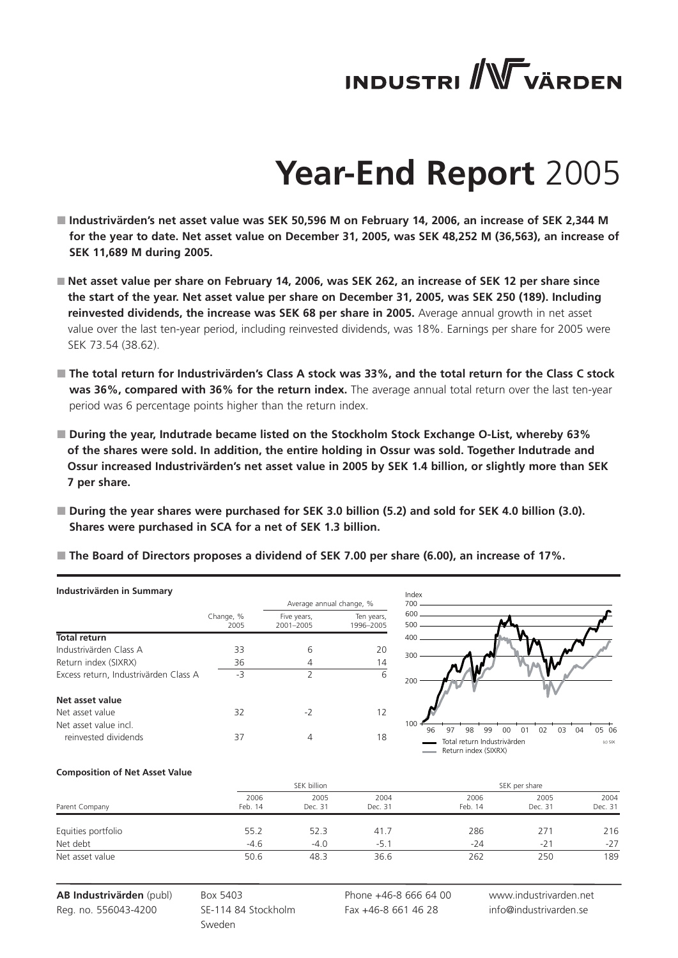# **INDUSTRI** WVÄRDEN

# **Year-End Report** 2005

- **Industrivärden's net asset value was SEK 50,596 M on February 14, 2006, an increase of SEK 2,344 M for the year to date. Net asset value on December 31, 2005, was SEK 48,252 M (36,563), an increase of SEK 11,689 M during 2005.**
- Net asset value per share on February 14, 2006, was SEK 262, an increase of SEK 12 per share since **the start of the year. Net asset value per share on December 31, 2005, was SEK 250 (189). Including reinvested dividends, the increase was SEK 68 per share in 2005.** Average annual growth in net asset value over the last ten-year period, including reinvested dividends, was 18%. Earnings per share for 2005 were SEK 73.54 (38.62).
- **The total return for Industrivärden's Class A stock was 33%, and the total return for the Class C stock was 36%, compared with 36% for the return index.** The average annual total return over the last ten-year period was 6 percentage points higher than the return index.
- **During the year, Indutrade became listed on the Stockholm Stock Exchange O-List, whereby 63% of the shares were sold. In addition, the entire holding in Ossur was sold. Together Indutrade and Ossur increased Industrivärden's net asset value in 2005 by SEK 1.4 billion, or slightly more than SEK 7 per share.**
- **During the year shares were purchased for SEK 3.0 billion (5.2) and sold for SEK 4.0 billion (3.0). Shares were purchased in SCA for a net of SEK 1.3 billion.**

| The Board of Directors proposes a dividend of SEK 7.00 per share (6.00), an increase of 17%. |
|----------------------------------------------------------------------------------------------|
|----------------------------------------------------------------------------------------------|

| Industrivärden in Summary             |                   |                          |                          | Index      |                                                     |          |    |          |           |
|---------------------------------------|-------------------|--------------------------|--------------------------|------------|-----------------------------------------------------|----------|----|----------|-----------|
|                                       |                   |                          | Average annual change, % | 700        |                                                     |          |    |          |           |
|                                       | Change, %<br>2005 | Five years,<br>2001-2005 | Ten years,<br>1996-2005  | 600<br>500 |                                                     |          |    |          |           |
| <b>Total return</b>                   |                   |                          |                          | 400        |                                                     |          |    |          |           |
| Industrivärden Class A                | 33                | 6                        | 20                       | 300        |                                                     |          |    |          |           |
| Return index (SIXRX)                  | 36                | 4                        | 14                       |            |                                                     |          |    |          |           |
| Excess return, Industrivärden Class A | -3                | ำ                        | 6                        | 200        |                                                     |          |    |          |           |
| Net asset value                       |                   |                          |                          |            |                                                     |          |    |          |           |
| Net asset value                       | 32                | $-2$                     | 12                       |            |                                                     |          |    |          |           |
| Net asset value incl.                 |                   |                          |                          | 100<br>96  | 98<br>97<br>99                                      | 00<br>01 | 02 | 04<br>03 | 05 06     |
| reinvested dividends                  | 37                | 4                        | 18                       |            | Total return Industrivärden<br>Return index (SIXRX) |          |    |          | $(c)$ SIX |

#### **Composition of Net Asset Value**

|                    |                 | SEK billion     |                 |                 | SEK per share   |                 |  |  |
|--------------------|-----------------|-----------------|-----------------|-----------------|-----------------|-----------------|--|--|
| Parent Company     | 2006<br>Feb. 14 | 2005<br>Dec. 31 | 2004<br>Dec. 31 | 2006<br>Feb. 14 | 2005<br>Dec. 31 | 2004<br>Dec. 31 |  |  |
| Equities portfolio | 55.2            | 52.3            | 41.7            | 286             | 271             | 216             |  |  |
| Net debt           | $-4.6$          | $-4.0$          | $-5.1$          | $-24$           | $-21$           | $-27$           |  |  |
| Net asset value    | 50.6            | 48.3            | 36.6            | 262             | 250             | 189             |  |  |

**AB Industrivärden** (publ) Reg. no. 556043-4200

Box 5403 SE-114 84 Stockholm Sweden

Phone +46-8 666 64 00 Fax +46-8 661 46 28

www.industrivarden.net info@industrivarden.se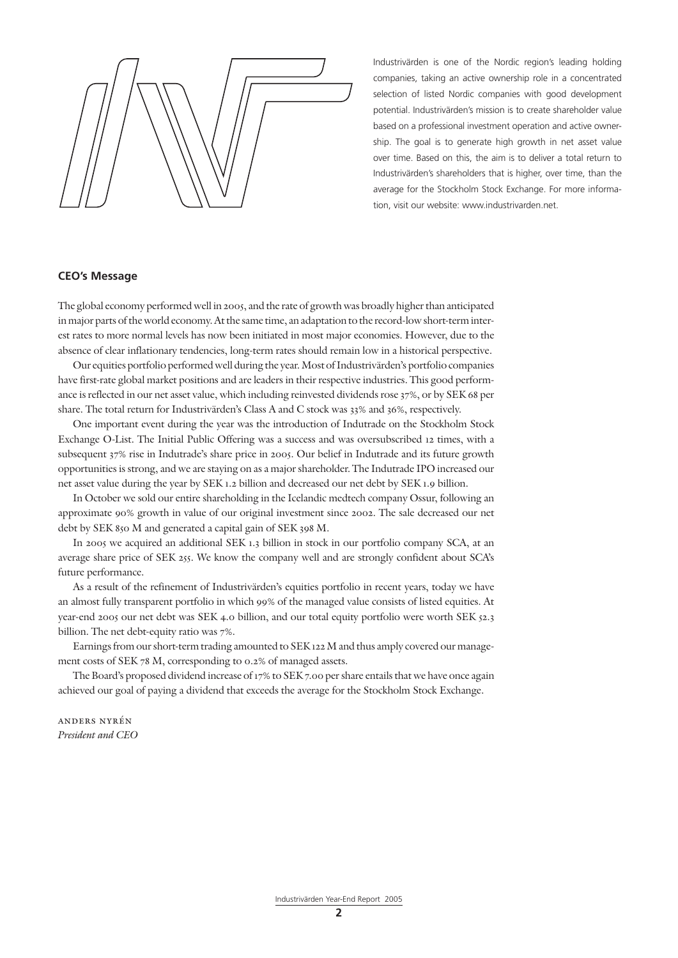Industrivärden is one of the Nordic region's leading holding companies, taking an active ownership role in a concentrated selection of listed Nordic companies with good development potential. Industrivärden's mission is to create shareholder value based on a professional investment operation and active ownership. The goal is to generate high growth in net asset value over time. Based on this, the aim is to deliver a total return to Industrivärden's shareholders that is higher, over time, than the average for the Stockholm Stock Exchange. For more information, visit our website: www.industrivarden.net.

#### **CEO's Message**

The global economy performed well in 2005, and the rate of growth was broadly higher than anticipated in major parts of the world economy. At the same time, an adaptation to the record-low short-term interest rates to more normal levels has now been initiated in most major economies. However, due to the absence of clear inflationary tendencies, long-term rates should remain low in a historical perspective.

Our equities portfolio performed well during the year. Most of Industrivärden's portfolio companies have first-rate global market positions and are leaders in their respective industries. This good performance is reflected in our net asset value, which including reinvested dividends rose 37%, or by SEK 68 per share. The total return for Industrivärden's Class A and C stock was 33% and 36%, respectively.

One important event during the year was the introduction of Indutrade on the Stockholm Stock Exchange O-List. The Initial Public Offering was a success and was oversubscribed 12 times, with a subsequent 37% rise in Indutrade's share price in 2005. Our belief in Indutrade and its future growth opportunities is strong, and we are staying on as a major shareholder. The Indutrade IPO increased our net asset value during the year by SEK 1.2 billion and decreased our net debt by SEK 1.9 billion.

In October we sold our entire shareholding in the Icelandic medtech company Ossur, following an approximate 90% growth in value of our original investment since 2002. The sale decreased our net debt by SEK 850 M and generated a capital gain of SEK 398 M.

In 2005 we acquired an additional SEK 1.3 billion in stock in our portfolio company SCA, at an average share price of SEK 255. We know the company well and are strongly confident about SCA's future performance.

As a result of the refinement of Industrivärden's equities portfolio in recent years, today we have an almost fully transparent portfolio in which 99% of the managed value consists of listed equities. At year-end 2005 our net debt was SEK 4.0 billion, and our total equity portfolio were worth SEK 52.3 billion. The net debt-equity ratio was 7%.

Earnings from our short-term trading amounted to SEK 122 M and thus amply covered our management costs of SEK 78 M, corresponding to 0.2% of managed assets.

The Board's proposed dividend increase of 17% to SEK 7.00 per share entails that we have once again achieved our goal of paying a dividend that exceeds the average for the Stockholm Stock Exchange.

anders nyrén *President and CEO*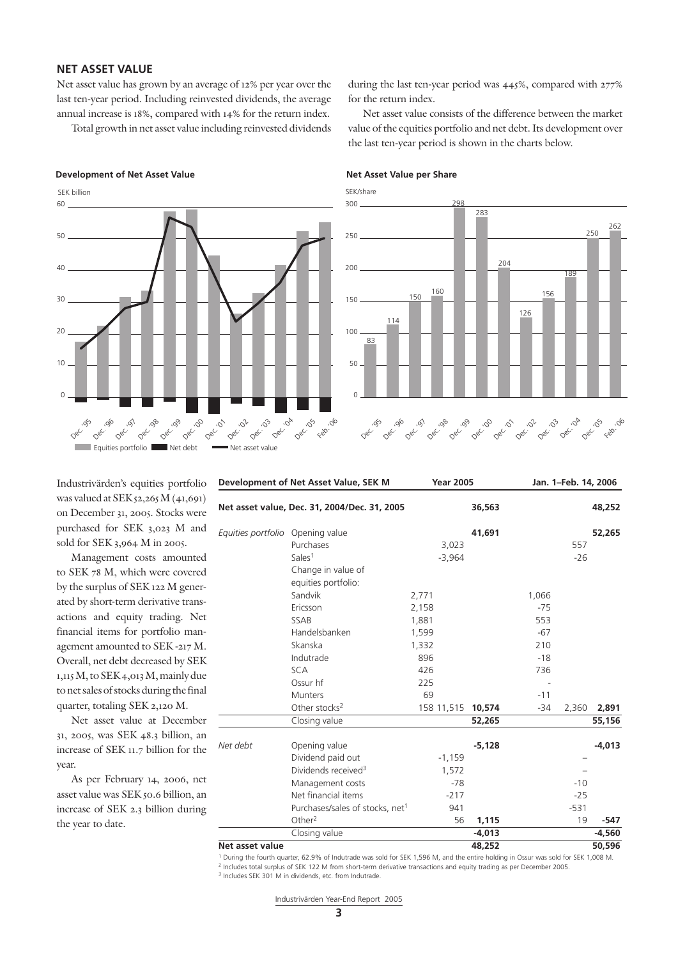### **NET ASSET VALUE**

Net asset value has grown by an average of 12% per year over the last ten-year period. Including reinvested dividends, the average annual increase is 18%, compared with 14% for the return index.

Total growth in net asset value including reinvested dividends

#### **Development of Net Asset Value 3 and 20 and 20 and 20 and 20 and 20 and 20 and 20 and 20 and 20 and 20 and 20 and 20 and 20 and 20 and 20 and 20 and 20 and 20 and 20 and 20 and 20 and 20 and 20 and 20 and 20 and 20 and 20**



during the last ten-year period was 445%, compared with 277% for the return index.

Net asset value consists of the difference between the market value of the equities portfolio and net debt. Its development over the last ten-year period is shown in the charts below.

SEK/share



Industrivärden's equities portfolio was valued at SEK 52,265 M (41,691) on December 31, 2005. Stocks were purchased for SEK 3,023 M and sold for SEK 3,964 M in 2005.

Management costs amounted to SEK 78 M, which were covered by the surplus of SEK 122 M generated by short-term derivative transactions and equity trading. Net financial items for portfolio management amounted to SEK -217 M. Overall, net debt decreased by SEK 1,115 M, to SEK 4,013 M, mainly due to net sales of stocks during the final quarter, totaling SEK 2,120 M.

Net asset value at December 31, 2005, was SEK 48.3 billion, an increase of SEK 11.7 billion for the year.

As per February 14, 2006, net asset value was SEK 50.6 billion, an increase of SEK 2.3 billion during the year to date.

| Development of Net Asset Value, SEK M |                                              | <b>Year 2005</b> | Jan. 1-Feb. 14, 2006 |       |        |          |
|---------------------------------------|----------------------------------------------|------------------|----------------------|-------|--------|----------|
|                                       | Net asset value, Dec. 31, 2004/Dec. 31, 2005 |                  | 36,563               |       |        | 48,252   |
| Equities portfolio Opening value      |                                              |                  | 41,691               |       |        | 52,265   |
|                                       | Purchases                                    | 3,023            |                      |       | 557    |          |
|                                       | Sales <sup>1</sup>                           | $-3,964$         |                      |       | $-26$  |          |
|                                       | Change in value of                           |                  |                      |       |        |          |
|                                       | equities portfolio:                          |                  |                      |       |        |          |
|                                       | Sandvik                                      | 2,771            |                      | 1,066 |        |          |
|                                       | Ericsson                                     | 2,158            |                      | $-75$ |        |          |
|                                       | <b>SSAB</b>                                  | 1,881            |                      | 553   |        |          |
|                                       | Handelsbanken                                | 1,599            |                      | $-67$ |        |          |
|                                       | Skanska                                      | 1,332            |                      | 210   |        |          |
|                                       | Indutrade                                    | 896              |                      | $-18$ |        |          |
|                                       | <b>SCA</b>                                   | 426              |                      | 736   |        |          |
|                                       | Ossur hf                                     | 225              |                      |       |        |          |
|                                       | <b>Munters</b>                               | 69               |                      | $-11$ |        |          |
|                                       | Other stocks <sup>2</sup>                    | 158 11,515       | 10,574               | $-34$ | 2,360  | 2,891    |
|                                       | Closing value                                |                  | 52,265               |       |        | 55,156   |
| Net debt                              | Opening value                                |                  | $-5,128$             |       |        | $-4,013$ |
|                                       | Dividend paid out                            | $-1,159$         |                      |       |        |          |
|                                       | Dividends received <sup>3</sup>              | 1,572            |                      |       |        |          |
|                                       | Management costs                             | $-78$            |                      |       | $-10$  |          |
|                                       | Net financial items                          | $-217$           |                      |       | $-25$  |          |
|                                       | Purchases/sales of stocks, net <sup>1</sup>  | 941              |                      |       | $-531$ |          |
|                                       | Other $2$                                    | 56               | 1,115                |       | 19     | -547     |
|                                       | Closing value                                |                  | $-4,013$             |       |        | $-4,560$ |
| Net asset value                       |                                              |                  | 48,252               |       |        | 50,596   |

1 During the fourth quarter, 62.9% of Indutrade was sold for SEK 1,596 M, and the entire holding in Ossur was sold for SEK 1,008 M. 2 Includes total surplus of SEK 122 M from short-term derivative transactions and equity trading as per December 2005.

<sup>3</sup> Includes SEK 301 M in dividends, etc. from Indutrade.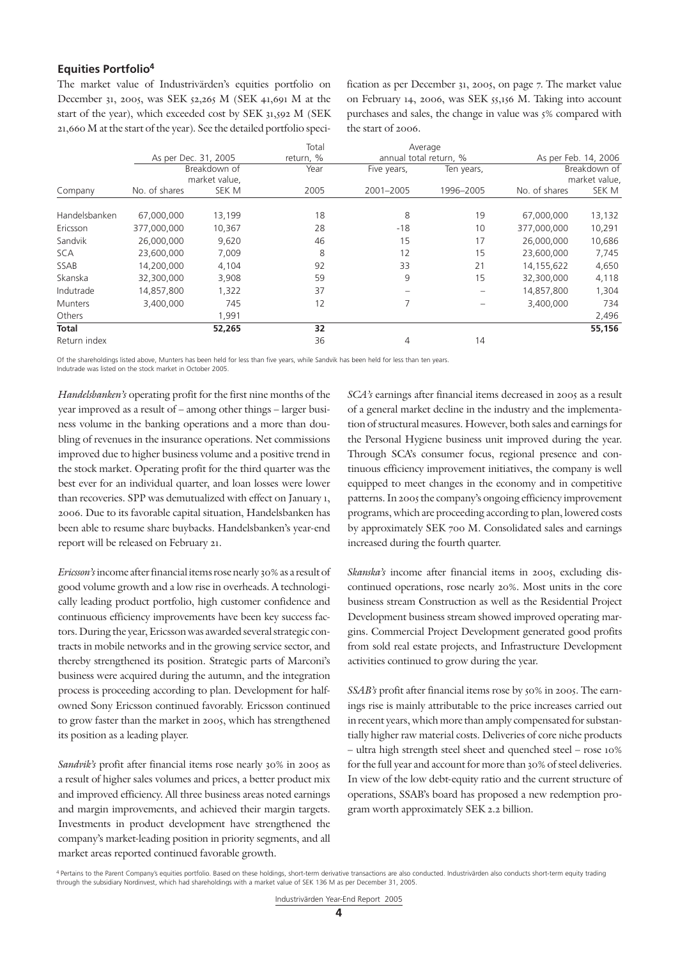#### **Equities Portfolio4**

The market value of Industrivärden's equities portfolio on December 31, 2005, was SEK 52,265 M (SEK 41,691 M at the start of the year), which exceeded cost by SEK 31,592 M (SEK 21,660 M at the start of the year). See the detailed portfolio specification as per December 31, 2005, on page 7. The market value on February 14, 2006, was SEK 55,156 M. Taking into account purchases and sales, the change in value was 5% compared with the start of 2006.

|                |                      |               |           |                          | Average                  |               |                      |
|----------------|----------------------|---------------|-----------|--------------------------|--------------------------|---------------|----------------------|
|                | As per Dec. 31, 2005 |               | return, % | annual total return, %   |                          |               | As per Feb. 14, 2006 |
|                |                      | Breakdown of  | Year      | Five years,              | Ten years,               |               | Breakdown of         |
|                |                      | market value, |           |                          |                          |               | market value,        |
| Company        | No. of shares        | SEK M         | 2005      | 2001-2005                | 1996-2005                | No. of shares | SEK M                |
| Handelsbanken  | 67,000,000           | 13,199        | 18        | 8                        | 19                       | 67,000,000    | 13,132               |
|                |                      |               |           |                          |                          |               |                      |
| Ericsson       | 377,000,000          | 10,367        | 28        | $-18$                    | 10                       | 377,000,000   | 10,291               |
| Sandvik        | 26,000,000           | 9,620         | 46        | 15                       | 17                       | 26,000,000    | 10,686               |
| <b>SCA</b>     | 23,600,000           | 7,009         | 8         | 12                       | 15                       | 23,600,000    | 7,745                |
| SSAB           | 14,200,000           | 4,104         | 92        | 33                       | 21                       | 14,155,622    | 4,650                |
| Skanska        | 32,300,000           | 3,908         | 59        | 9                        | 15                       | 32,300,000    | 4,118                |
| Indutrade      | 14,857,800           | 1,322         | 37        | $\overline{\phantom{m}}$ | $\overline{\phantom{m}}$ | 14,857,800    | 1,304                |
| <b>Munters</b> | 3,400,000            | 745           | 12        | 7                        |                          | 3,400,000     | 734                  |
| Others         |                      | 1,991         |           |                          |                          |               | 2,496                |
| <b>Total</b>   |                      | 52,265        | 32        |                          |                          |               | 55,156               |
| Return index   |                      |               | 36        | 4                        | 14                       |               |                      |

Of the shareholdings listed above, Munters has been held for less than five years, while Sandvik has been held for less than ten years. Indutrade was listed on the stock market in October 2005.

*Handelsbanken's* operating profit for the first nine months of the year improved as a result of – among other things – larger business volume in the banking operations and a more than doubling of revenues in the insurance operations. Net commissions improved due to higher business volume and a positive trend in the stock market. Operating profit for the third quarter was the best ever for an individual quarter, and loan losses were lower than recoveries. SPP was demutualized with effect on January 1, 2006. Due to its favorable capital situation, Handelsbanken has been able to resume share buybacks. Handelsbanken's year-end report will be released on February 21.

*Ericsson's* income after financial items rose nearly 30% as a result of good volume growth and a low rise in overheads. A technologically leading product portfolio, high customer confidence and continuous efficiency improvements have been key success factors. During the year, Ericsson was awarded several strategic contracts in mobile networks and in the growing service sector, and thereby strengthened its position. Strategic parts of Marconi's business were acquired during the autumn, and the integration process is proceeding according to plan. Development for halfowned Sony Ericsson continued favorably. Ericsson continued to grow faster than the market in 2005, which has strengthened its position as a leading player.

*Sandvik's* profit after financial items rose nearly 30% in 2005 as a result of higher sales volumes and prices, a better product mix and improved efficiency. All three business areas noted earnings and margin improvements, and achieved their margin targets. Investments in product development have strengthened the company's market-leading position in priority segments, and all market areas reported continued favorable growth.

*SCA's* earnings after financial items decreased in 2005 as a result of a general market decline in the industry and the implementation of structural measures. However, both sales and earnings for the Personal Hygiene business unit improved during the year. Through SCA's consumer focus, regional presence and continuous efficiency improvement initiatives, the company is well equipped to meet changes in the economy and in competitive patterns. In 2005 the company's ongoing efficiency improvement programs, which are proceeding according to plan, lowered costs by approximately SEK 700 M. Consolidated sales and earnings increased during the fourth quarter.

*Skanska's* income after financial items in 2005, excluding discontinued operations, rose nearly 20%. Most units in the core business stream Construction as well as the Residential Project Development business stream showed improved operating margins. Commercial Project Development generated good profits from sold real estate projects, and Infrastructure Development activities continued to grow during the year.

*SSAB's* profit after financial items rose by 50% in 2005. The earnings rise is mainly attributable to the price increases carried out in recent years, which more than amply compensated for substantially higher raw material costs. Deliveries of core niche products – ultra high strength steel sheet and quenched steel – rose 10% for the full year and account for more than 30% of steel deliveries. In view of the low debt-equity ratio and the current structure of operations, SSAB's board has proposed a new redemption program worth approximately SEK 2.2 billion.

<sup>&</sup>lt;sup>4</sup> Pertains to the Parent Company's equities portfolio. Based on these holdings, short-term derivative transactions are also conducted. Industrivärden also conducts short-term equity trading through the subsidiary Nordinvest, which had shareholdings with a market value of SEK 136 M as per December 31, 2005.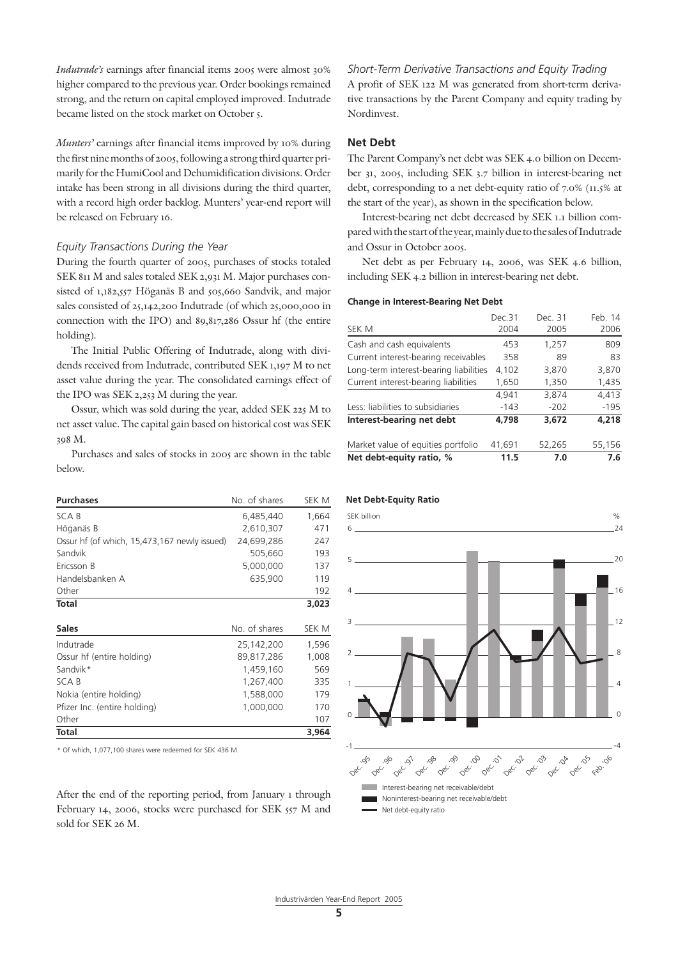*Indutrade's* earnings after financial items 2005 were almost 30% higher compared to the previous year. Order bookings remained strong, and the return on capital employed improved. Indutrade became listed on the stock market on October 5.

*Munters'* earnings after financial items improved by 10% during the first nine months of 2005, following a strong third quarter primarily for the HumiCool and Dehumidification divisions. Order intake has been strong in all divisions during the third quarter, with a record high order backlog. Munters' year-end report will be released on February 16.

#### *Equity Transactions During the Year*

During the fourth quarter of 2005, purchases of stocks totaled SEK 811 M and sales totaled SEK 2,931 M. Major purchases consisted of 1,182,557 Höganäs B and 505,660 Sandvik, and major sales consisted of 25,142,200 Indutrade (of which 25,000,000 in connection with the IPO) and 89,817,286 Ossur hf (the entire holding).

The Initial Public Offering of Indutrade, along with dividends received from Indutrade, contributed SEK 1,197 M to net asset value during the year. The consolidated earnings effect of the IPO was SEK 2,253 M during the year.

Ossur, which was sold during the year, added SEK 225 M to net asset value. The capital gain based on historical cost was SEK 398 M.

Purchases and sales of stocks in 2005 are shown in the table below.

| <b>Purchases</b>                             | No. of shares | SEK M |
|----------------------------------------------|---------------|-------|
| SCA B                                        | 6,485,440     | 1,664 |
| Höganäs B                                    | 2,610,307     | 471   |
| Ossur hf (of which, 15,473,167 newly issued) | 24,699,286    | 247   |
| Sandvik                                      | 505,660       | 193   |
| Ericsson B                                   | 5,000,000     | 137   |
| Handelsbanken A                              | 635,900       | 119   |
| Other                                        |               | 192   |
| <b>Total</b>                                 |               | 3,023 |
| <b>Sales</b>                                 | No. of shares | SEK M |
| Indutrade                                    | 25,142,200    | 1,596 |
| Ossur hf (entire holding)                    | 89,817,286    | 1,008 |
| Sandvik*                                     | 1,459,160     | 569   |
| <b>SCAB</b>                                  | 1,267,400     | 335   |
| Nokia (entire holding)                       | 1,588,000     | 179   |
| Pfizer Inc. (entire holding)                 | 1,000,000     | 170   |
| Other                                        |               | 107   |
| <b>Total</b>                                 |               | 3,964 |

\* Of which, 1,077,100 shares were redeemed for SEK 436 M.

After the end of the reporting period, from January 1 through February 14, 2006, stocks were purchased for SEK 557 M and sold for SEK 26 M.

*Short-Term Derivative Transactions and Equity Trading* A profit of SEK 122 M was generated from short-term derivative transactions by the Parent Company and equity trading by Nordinvest.

### **Net Debt**

The Parent Company's net debt was SEK 4.0 billion on December 31, 2005, including SEK 3.7 billion in interest-bearing net debt, corresponding to a net debt-equity ratio of 7.0% (11.5% at the start of the year), as shown in the specification below.

Interest-bearing net debt decreased by SEK 1.1 billion compared with the start of the year, mainly due to the sales of Indutrade and Ossur in October 2005.

Net debt as per February 14, 2006, was SEK 4.6 billion, including SEK 4.2 billion in interest-bearing net debt.

#### **Change in Interest-Bearing Net Debt**

| Net debt-equity ratio, %               | 11.5   | 7.0     | 7.6     |
|----------------------------------------|--------|---------|---------|
| Market value of equities portfolio     | 41,691 | 52,265  | 55,156  |
| Interest-bearing net debt              | 4,798  | 3,672   | 4,218   |
| Less: liabilities to subsidiaries      | $-143$ | $-202$  | $-195$  |
|                                        | 4,941  | 3,874   | 4,413   |
| Current interest-bearing liabilities   | 1,650  | 1,350   | 1,435   |
| Long-term interest-bearing liabilities | 4,102  | 3,870   | 3,870   |
| Current interest-bearing receivables   | 358    | 89      | 83      |
| Cash and cash equivalents              | 453    | 1,257   | 809     |
| SEK M                                  | 2004   | 2005    | 2006    |
|                                        | Dec.31 | Dec. 31 | Feb. 14 |



#### **Net Debt-Equity Ratio**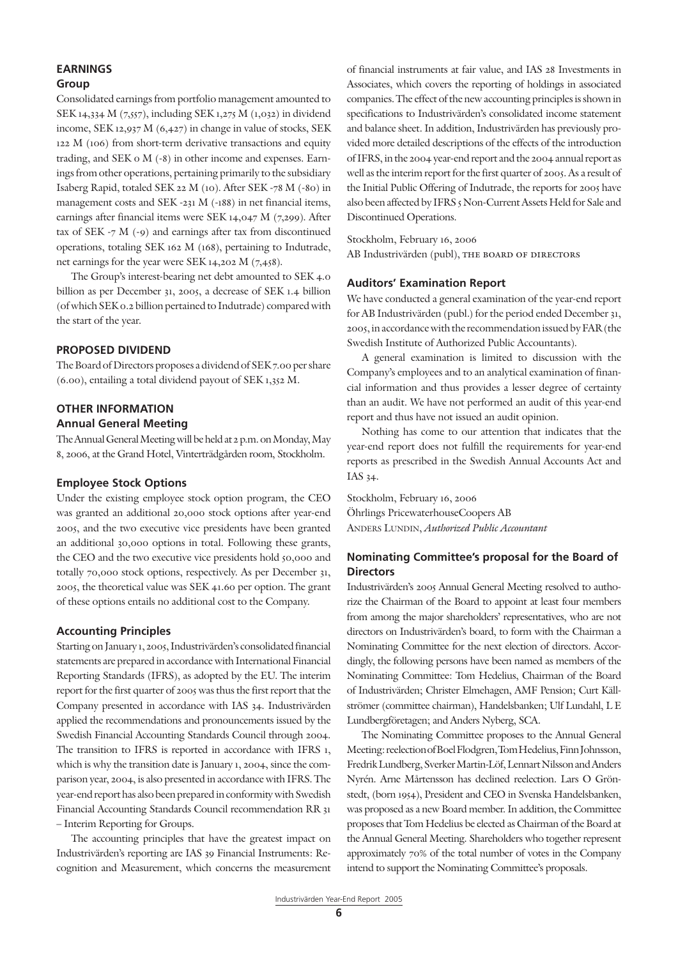# **EARNINGS**

### **Group**

Consolidated earnings from portfolio management amounted to SEK 14,334 M (7,557), including SEK 1,275 M (1,032) in dividend income, SEK 12,937 M (6,427) in change in value of stocks, SEK 122 M (106) from short-term derivative transactions and equity trading, and SEK 0 M (-8) in other income and expenses. Earnings from other operations, pertaining primarily to the subsidiary Isaberg Rapid, totaled SEK 22 M (10). After SEK -78 M (-80) in management costs and SEK -231 M (-188) in net financial items, earnings after financial items were SEK 14,047 M (7,299). After tax of SEK  $-7$  M  $(-9)$  and earnings after tax from discontinued operations, totaling SEK 162 M (168), pertaining to Indutrade, net earnings for the year were SEK 14,202 M (7,458).

The Group's interest-bearing net debt amounted to SEK 4.0 billion as per December 31, 2005, a decrease of SEK 1.4 billion (of which SEK 0.2 billion pertained to Indutrade) compared with the start of the year.

#### **PROPOSED DIVIDEND**

The Board of Directors proposes a dividend of SEK 7.00 per share (6.00), entailing a total dividend payout of SEK 1,352 M.

#### **OTHER INFORMATION**

#### **Annual General Meeting**

The Annual General Meeting will be held at 2 p.m. on Monday, May 8, 2006, at the Grand Hotel, Vinterträdgården room, Stockholm.

#### **Employee Stock Options**

Under the existing employee stock option program, the CEO was granted an additional 20,000 stock options after year-end 2005, and the two executive vice presidents have been granted an additional 30,000 options in total. Following these grants, the CEO and the two executive vice presidents hold 50,000 and totally 70,000 stock options, respectively. As per December 31, 2005, the theoretical value was SEK 41.60 per option. The grant of these options entails no additional cost to the Company.

#### **Accounting Principles**

Starting on January 1, 2005, Industrivärden's consolidated financial statements are prepared in accordance with International Financial Reporting Standards (IFRS), as adopted by the EU. The interim report for the first quarter of 2005 was thus the first report that the Company presented in accordance with IAS 34. Industrivärden applied the recommendations and pronouncements issued by the Swedish Financial Accounting Standards Council through 2004. The transition to IFRS is reported in accordance with IFRS 1, which is why the transition date is January 1, 2004, since the comparison year, 2004, is also presented in accordance with IFRS. The year-end report has also been prepared in conformity with Swedish Financial Accounting Standards Council recommendation RR 31 – Interim Reporting for Groups.

The accounting principles that have the greatest impact on Industrivärden's reporting are IAS 39 Financial Instruments: Recognition and Measurement, which concerns the measurement of financial instruments at fair value, and IAS 28 Investments in Associates, which covers the reporting of holdings in associated companies. The effect of the new accounting principles is shown in specifications to Industrivärden's consolidated income statement and balance sheet. In addition, Industrivärden has previously provided more detailed descriptions of the effects of the introduction of IFRS, in the 2004 year-end report and the 2004 annual report as well as the interim report for the first quarter of 2005. As a result of the Initial Public Offering of Indutrade, the reports for 2005 have also been affected by IFRS 5 Non-Current Assets Held for Sale and Discontinued Operations.

Stockholm, February 16, 2006 AB Industrivärden (publ), THE BOARD OF DIRECTORS

#### **Auditors' Examination Report**

We have conducted a general examination of the year-end report for AB Industrivärden (publ.) for the period ended December 31, 2005, in accordance with the recommendation issued by FAR (the Swedish Institute of Authorized Public Accountants).

A general examination is limited to discussion with the Company's employees and to an analytical examination of financial information and thus provides a lesser degree of certainty than an audit. We have not performed an audit of this year-end report and thus have not issued an audit opinion.

Nothing has come to our attention that indicates that the year-end report does not fulfill the requirements for year-end reports as prescribed in the Swedish Annual Accounts Act and IAS 34.

Stockholm, February 16, 2006 Öhrlings PricewaterhouseCoopers AB Anders Lundin, *Authorized Public Accountant*

### **Nominating Committee's proposal for the Board of Directors**

Industrivärden's 2005 Annual General Meeting resolved to authorize the Chairman of the Board to appoint at least four members from among the major shareholders' representatives, who are not directors on Industrivärden's board, to form with the Chairman a Nominating Committee for the next election of directors. Accordingly, the following persons have been named as members of the Nominating Committee: Tom Hedelius, Chairman of the Board of Industrivärden; Christer Elmehagen, AMF Pension; Curt Källströmer (committee chairman), Handelsbanken; Ulf Lundahl, L E Lundbergföretagen; and Anders Nyberg, SCA.

The Nominating Committee proposes to the Annual General Meeting: reelection of Boel Flodgren, Tom Hedelius, Finn Johnsson, Fredrik Lundberg, Sverker Martin-Löf, Lennart Nilsson and Anders Nyrén. Arne Mårtensson has declined reelection. Lars O Grönstedt, (born 1954), President and CEO in Svenska Handelsbanken, was proposed as a new Board member. In addition, the Committee proposes that Tom Hedelius be elected as Chairman of the Board at the Annual General Meeting. Shareholders who together represent approximately 70% of the total number of votes in the Company intend to support the Nominating Committee's proposals.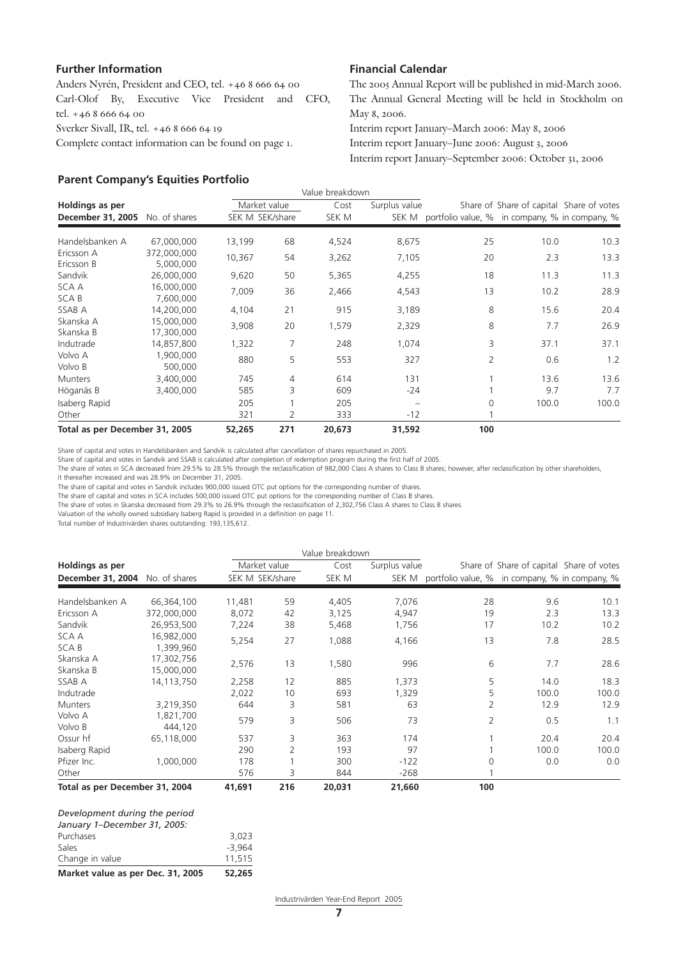#### **Further Information**

Anders Nyrén, President and CEO, tel. +46 8 666 64 00 Carl-Olof By, Executive Vice President and CFO, tel. +46 8 666 64 00 Sverker Sivall, IR, tel. +46 8 666 64 19 Complete contact information can be found on page 1.

#### **Parent Company's Equities Portfolio**

#### **Financial Calendar**

The 2005 Annual Report will be published in mid-March 2006. The Annual General Meeting will be held in Stockholm on May 8, 2006.

Interim report January–March 2006: May 8, 2006 Interim report January–June 2006: August 3, 2006 Interim report January–September 2006: October 31, 2006

|                                |                          |                 |     | Value breakdown |               |                                                      |                                          |       |
|--------------------------------|--------------------------|-----------------|-----|-----------------|---------------|------------------------------------------------------|------------------------------------------|-------|
| Holdings as per                |                          | Market value    |     | Cost            | Surplus value |                                                      | Share of Share of capital Share of votes |       |
| December 31, 2005              | No. of shares            | SEK M SEK/share |     | SEK M           |               | SEK M portfolio value, % in company, % in company, % |                                          |       |
| Handelsbanken A                | 67,000,000               | 13,199          | 68  | 4,524           | 8,675         | 25                                                   | 10.0                                     | 10.3  |
| Ericsson A<br>Ericsson B       | 372,000,000<br>5,000,000 | 10,367          | 54  | 3,262           | 7,105         | 20                                                   | 2.3                                      | 13.3  |
| Sandvik                        | 26,000,000               | 9,620           | 50  | 5,365           | 4,255         | 18                                                   | 11.3                                     | 11.3  |
| SCA A<br>SCA B                 | 16,000,000<br>7,600,000  | 7,009           | 36  | 2,466           | 4,543         | 13                                                   | 10.2                                     | 28.9  |
| SSAB A                         | 14,200,000               | 4,104           | 21  | 915             | 3,189         | 8                                                    | 15.6                                     | 20.4  |
| Skanska A<br>Skanska B         | 15,000,000<br>17,300,000 | 3,908           | 20  | 1,579           | 2,329         | 8                                                    | 7.7                                      | 26.9  |
| Indutrade                      | 14,857,800               | 1,322           | 7   | 248             | 1,074         | 3                                                    | 37.1                                     | 37.1  |
| Volvo A<br>Volvo B             | 1,900,000<br>500,000     | 880             | 5   | 553             | 327           | 2                                                    | 0.6                                      | 1.2   |
| <b>Munters</b>                 | 3.400.000                | 745             | 4   | 614             | 131           |                                                      | 13.6                                     | 13.6  |
| Höganäs B                      | 3,400,000                | 585             | 3   | 609             | -24           |                                                      | 9.7                                      | 7.7   |
| Isaberg Rapid<br>Other         |                          | 205<br>321      | 2   | 205<br>333      | $-12$         | $\Omega$                                             | 100.0                                    | 100.0 |
| Total as per December 31, 2005 |                          | 52,265          | 271 | 20,673          | 31,592        | 100                                                  |                                          |       |

Share of capital and votes in Handelsbanken and Sandvik is calculated after cancellation of shares repurchased in 2005.

Share of capital and votes in Sandvik and SSAB is calculated after completion of redemption program during the first half of 2005.

The share of votes in SCA decreased from 29.5% to 28.5% through the reclassification of 982,000 Class A shares to Class B shares; however, after reclassification by other shareholders,

it thereafter increased and was 28.9% on December 31, 2005.

The share of capital and votes in Sandvik includes 900,000 issued OTC put options for the corresponding number of shares.

The share of capital and votes in SCA includes 500,000 issued OTC put options for the corresponding number of Class B shares.

The share of votes in Skanska decreased from 29.3% to 26.9% through the reclassification of 2,302,756 Class A shares to Class B shares.

Valuation of the wholly owned subsidiary Isaberg Rapid is provided in a definition on page 11.

Total number of Industrivärden shares outstanding: 193,135,612.

|                                |                          |                 |     | Value breakdown |               |                                                      |                                          |       |
|--------------------------------|--------------------------|-----------------|-----|-----------------|---------------|------------------------------------------------------|------------------------------------------|-------|
| Holdings as per                |                          | Market value    |     | Cost            | Surplus value |                                                      | Share of Share of capital Share of votes |       |
| December 31, 2004              | No. of shares            | SEK M SEK/share |     | SEK M           |               | SEK M portfolio value, % in company, % in company, % |                                          |       |
| Handelsbanken A                | 66,364,100               | 11,481          | 59  | 4,405           | 7,076         | 28                                                   | 9.6                                      | 10.1  |
| Ericsson A                     | 372,000,000              | 8,072           | 42  | 3,125           | 4,947         | 19                                                   | 2.3                                      | 13.3  |
| Sandvik                        | 26,953,500               | 7,224           | 38  | 5,468           | 1,756         | 17                                                   | 10.2                                     | 10.2  |
| SCA A<br>SCA B                 | 16,982,000<br>1,399,960  | 5,254           | 27  | 1,088           | 4,166         | 13                                                   | 7.8                                      | 28.5  |
| Skanska A<br>Skanska B         | 17,302,756<br>15,000,000 | 2,576           | 13  | 1,580           | 996           | 6                                                    | 7.7                                      | 28.6  |
| SSAB A                         | 14.113.750               | 2,258           | 12  | 885             | 1,373         | 5                                                    | 14.0                                     | 18.3  |
| Indutrade                      |                          | 2,022           | 10  | 693             | 1,329         | 5                                                    | 100.0                                    | 100.0 |
| <b>Munters</b>                 | 3,219,350                | 644             | 3   | 581             | 63            | 2                                                    | 12.9                                     | 12.9  |
| Volvo A<br>Volvo B             | 1,821,700<br>444.120     | 579             | 3   | 506             | 73            | $\overline{2}$                                       | 0.5                                      | 1.1   |
| Ossur hf                       | 65,118,000               | 537             | 3   | 363             | 174           |                                                      | 20.4                                     | 20.4  |
| Isaberg Rapid                  |                          | 290             | 2   | 193             | 97            |                                                      | 100.0                                    | 100.0 |
| Pfizer Inc.                    | 1,000,000                | 178             |     | 300             | $-122$        | 0                                                    | 0.0                                      | 0.0   |
| Other                          |                          | 576             | 3   | 844             | -268          |                                                      |                                          |       |
| Total as per December 31, 2004 |                          | 41,691          | 216 | 20,031          | 21,660        | 100                                                  |                                          |       |

#### *Development during the period January 1–December 31, 2005:* Purchases 3,023<br>Sales 3,964  $-3.964$ Change in value 11,515

**Market value as per Dec. 31, 2005 52,265**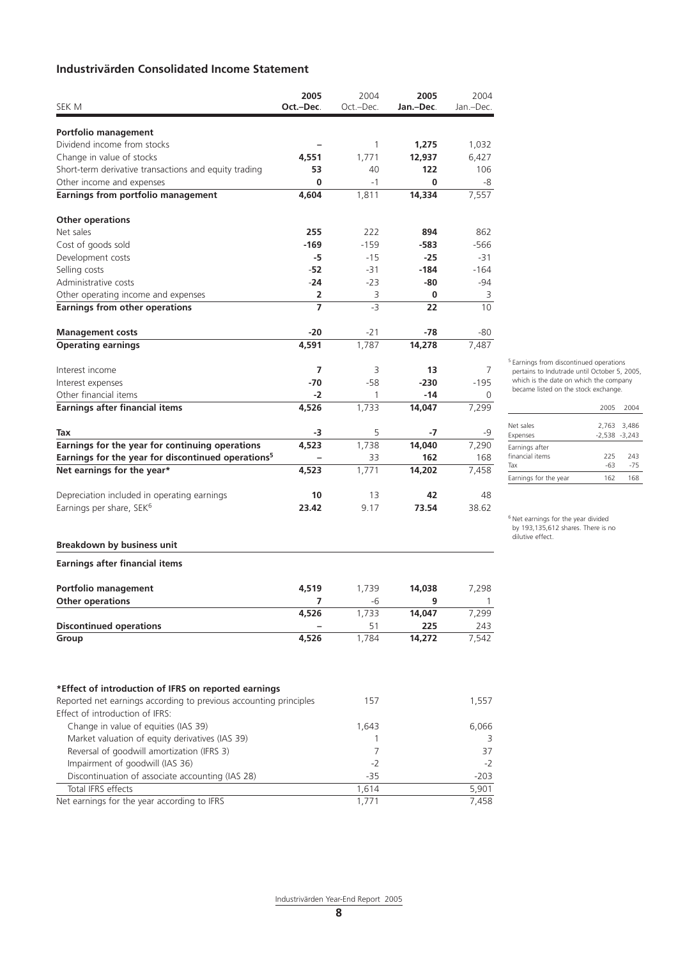# **Industrivärden Consolidated Income Statement**

|                                                                                    | 2005      | 2004         | 2005          | 2004      |
|------------------------------------------------------------------------------------|-----------|--------------|---------------|-----------|
| sek m                                                                              | Oct.-Dec. | Oct.-Dec.    | Jan.-Dec.     | Jan.-Dec. |
|                                                                                    |           |              |               |           |
| Portfolio management<br>Dividend income from stocks                                |           |              |               |           |
|                                                                                    |           | 1            | 1,275         | 1,032     |
| Change in value of stocks                                                          | 4,551     | 1,771<br>40  | 12,937<br>122 | 6,427     |
| Short-term derivative transactions and equity trading<br>Other income and expenses | 53<br>0   | -1           | 0             | 106<br>-8 |
| Earnings from portfolio management                                                 | 4,604     | 1,811        | 14,334        | 7,557     |
|                                                                                    |           |              |               |           |
| <b>Other operations</b>                                                            |           |              |               |           |
| Net sales                                                                          | 255       | 222          | 894           | 862       |
| Cost of goods sold                                                                 | $-169$    | $-159$       | -583          | -566      |
| Development costs                                                                  | -5        | $-15$        | -25           | -31       |
| Selling costs                                                                      | $-52$     | $-31$        | $-184$        | $-164$    |
| Administrative costs                                                               | $-24$     | $-23$        | -80           | -94       |
| Other operating income and expenses                                                | 2         | 3            | 0             | 3         |
| <b>Earnings from other operations</b>                                              | 7         | $-3$         | 22            | 10        |
|                                                                                    |           |              |               |           |
| <b>Management costs</b>                                                            | -20       | $-21$        | -78           | -80       |
| <b>Operating earnings</b>                                                          | 4,591     | 1.787        | 14,278        | 7,487     |
|                                                                                    | 7         | 3            | 13            | 7         |
| Interest income                                                                    | -70       | $-58$        | $-230$        |           |
| Interest expenses                                                                  |           |              |               | $-195$    |
| Other financial items                                                              | $-2$      | $\mathbf{1}$ | -14           | 0         |
| Earnings after financial items                                                     | 4,526     | 1,733        | 14,047        | 7,299     |
| Tax                                                                                | -3        | 5            | -7            | -9        |
| Earnings for the year for continuing operations                                    | 4,523     | 1,738        | 14,040        | 7,290     |
| Earnings for the year for discontinued operations <sup>5</sup>                     |           | 33           | 162           | 168       |
| Net earnings for the year*                                                         | 4,523     | 1,771        | 14,202        | 7,458     |
|                                                                                    |           |              |               |           |
| Depreciation included in operating earnings                                        | 10        | 13           | 42            | 48        |
| Earnings per share, SEK <sup>6</sup>                                               | 23.42     | 9.17         | 73.54         | 38.62     |
|                                                                                    |           |              |               |           |
| <b>Breakdown by business unit</b>                                                  |           |              |               |           |
| <b>Earnings after financial items</b>                                              |           |              |               |           |
| <b>Portfolio management</b>                                                        | 4,519     | 1,739        | 14,038        | 7,298     |
| Other operations                                                                   | 7         | -6           | 9             | 1         |
|                                                                                    | 4,526     | 1,733        | 14,047        | 7,299     |
| <b>Discontinued operations</b>                                                     |           | 51           | 225           | 243       |
| Group                                                                              | 4,526     | 1,784        | 14,272        | 7,542     |
|                                                                                    |           |              |               |           |
| *Effect of introduction of IFRS on reported earnings                               |           |              |               |           |
| Reported net earnings according to previous accounting principles                  |           | 157          |               | 1,557     |
| Effect of introduction of IFRS:                                                    |           |              |               |           |
| Change in value of equities (IAS 39)                                               |           | 1,643        |               | 6,066     |
| Market valuation of equity derivatives (IAS 39)                                    |           | 1            |               | 3         |
| Reversal of goodwill amortization (IFRS 3)                                         |           | 7            |               | 37        |
| Impairment of goodwill (IAS 36)                                                    |           | $-2$         |               | $-2$      |
| Discontinuation of associate accounting (IAS 28)                                   |           | $-35$        |               | $-203$    |
| Total IFRS effects                                                                 |           | 1,614        |               | 5,901     |
| Net earnings for the year according to IFRS                                        |           | 1,771        |               | 7,458     |
|                                                                                    |           |              |               |           |

5 Earnings from discontinued operations pertains to Indutrade until October 5, 2005, which is the date on which the company became listed on the stock exchange.

|                       | 2005             | 2004        |
|-----------------------|------------------|-------------|
|                       |                  |             |
| Net sales             |                  | 2.763 3.486 |
| Expenses              | $-2.538 - 3.243$ |             |
| Earnings after        |                  |             |
| financial items       | 225              | 243         |
| Tax                   | -63              | $-75$       |
| Earnings for the year | 162              | 168         |
|                       |                  |             |

6 Net earnings for the year divided by 193,135,612 shares. There is no dilutive effect.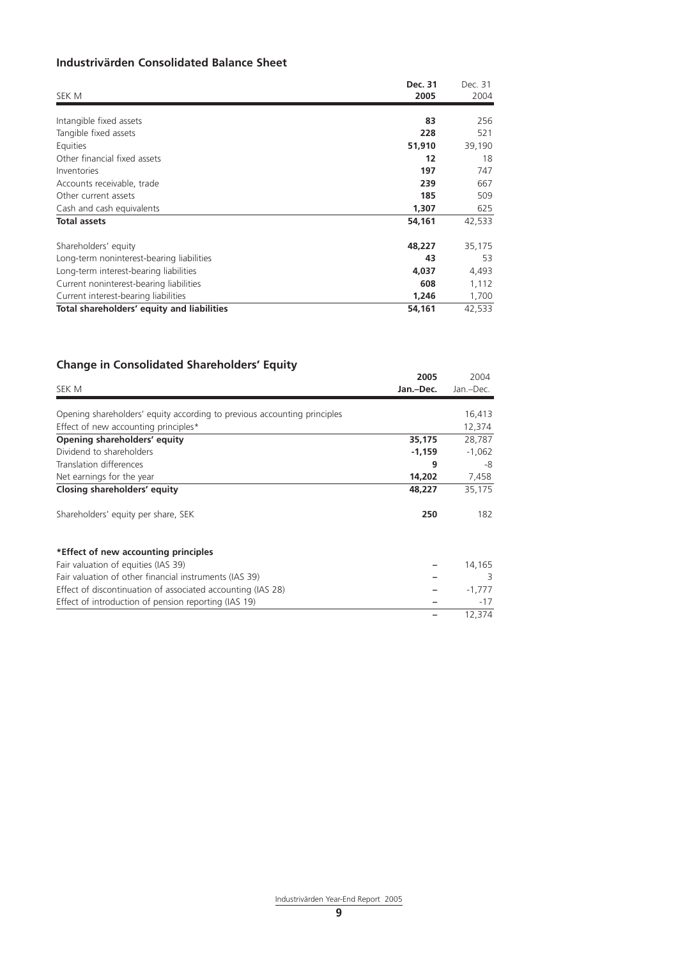# **Industrivärden Consolidated Balance Sheet**

| SEK M                                      | Dec. 31<br>2005 | Dec. 31<br>2004 |
|--------------------------------------------|-----------------|-----------------|
|                                            |                 |                 |
| Intangible fixed assets                    | 83              | 256             |
| Tangible fixed assets                      | 228             | 521             |
| Equities                                   | 51,910          | 39,190          |
| Other financial fixed assets               | 12              | 18              |
| Inventories                                | 197             | 747             |
| Accounts receivable, trade                 | 239             | 667             |
| Other current assets                       | 185             | 509             |
| Cash and cash equivalents                  | 1,307           | 625             |
| <b>Total assets</b>                        | 54,161          | 42,533          |
| Shareholders' equity                       | 48,227          | 35,175          |
| Long-term noninterest-bearing liabilities  | 43              | 53              |
| Long-term interest-bearing liabilities     | 4,037           | 4,493           |
| Current noninterest-bearing liabilities    | 608             | 1,112           |
| Current interest-bearing liabilities       | 1,246           | 1,700           |
| Total shareholders' equity and liabilities | 54,161          | 42,533          |

# **Change in Consolidated Shareholders' Equity**

|                                                                          | 2005      | 2004<br>Jan.-Dec. |
|--------------------------------------------------------------------------|-----------|-------------------|
| SEK M                                                                    | Jan.-Dec. |                   |
|                                                                          |           |                   |
| Opening shareholders' equity according to previous accounting principles |           | 16,413            |
| Effect of new accounting principles*                                     |           | 12,374            |
| Opening shareholders' equity                                             | 35,175    | 28,787            |
| Dividend to shareholders                                                 | $-1,159$  | $-1,062$          |
| Translation differences                                                  | 9         | -8                |
| Net earnings for the year                                                | 14,202    | 7,458             |
| Closing shareholders' equity                                             | 48,227    | 35,175            |
| Shareholders' equity per share, SEK                                      | 250       | 182               |
| *Effect of new accounting principles                                     |           |                   |
| Fair valuation of equities (IAS 39)                                      |           | 14,165            |
| Fair valuation of other financial instruments (IAS 39)                   |           | 3                 |
| Effect of discontinuation of associated accounting (IAS 28)              |           | $-1,777$          |
| Effect of introduction of pension reporting (IAS 19)                     |           | $-17$             |
|                                                                          |           | 12,374            |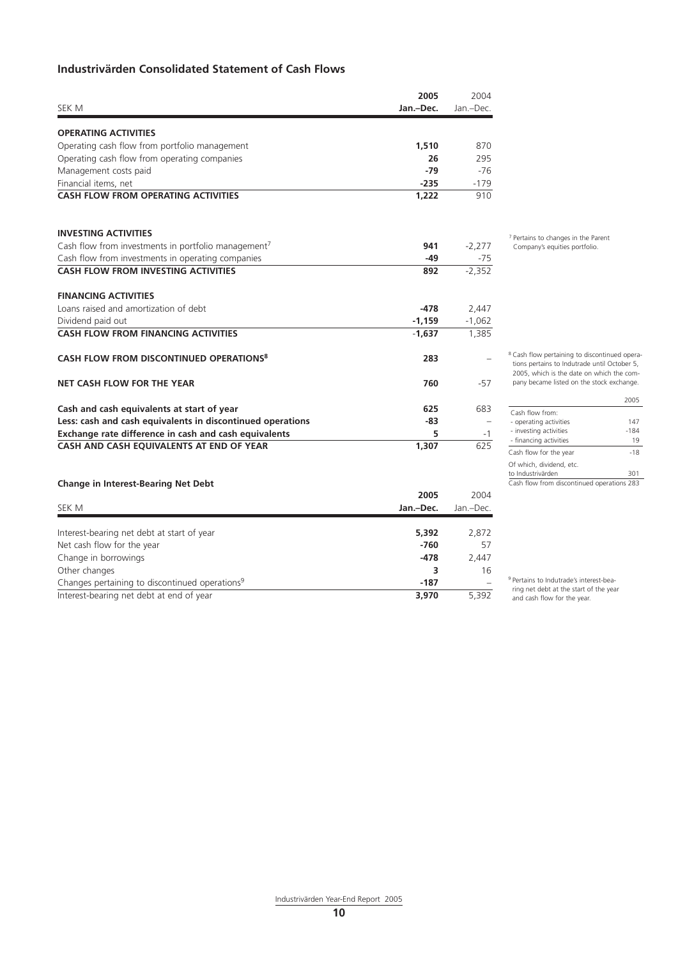# **Industrivärden Consolidated Statement of Cash Flows**

|                                                                 | 2005      | 2004      |
|-----------------------------------------------------------------|-----------|-----------|
| SEK M                                                           | Jan.-Dec. | Jan.-Dec. |
| <b>OPERATING ACTIVITIES</b>                                     |           |           |
| Operating cash flow from portfolio management                   | 1,510     | 870       |
| Operating cash flow from operating companies                    | 26        | 295       |
| Management costs paid                                           | $-79$     | $-76$     |
| Financial items, net                                            | $-235$    | $-179$    |
| <b>CASH FLOW FROM OPERATING ACTIVITIES</b>                      | 1.222     | 910       |
| <b>INVESTING ACTIVITIES</b>                                     |           |           |
| Cash flow from investments in portfolio management <sup>7</sup> | 941       | $-2,277$  |
| Cash flow from investments in operating companies               | $-49$     | $-75$     |
| <b>CASH FLOW FROM INVESTING ACTIVITIES</b>                      | 892       | $-2,352$  |
| <b>FINANCING ACTIVITIES</b>                                     |           |           |
| Loans raised and amortization of debt                           | $-478$    | 2,447     |
| Dividend paid out                                               | $-1,159$  | $-1,062$  |
| <b>CASH FLOW FROM FINANCING ACTIVITIES</b>                      | $-1.637$  | 1,385     |
| CASH FLOW FROM DISCONTINUED OPERATIONS <sup>8</sup>             | 283       |           |
| NET CASH FLOW FOR THE YEAR                                      | 760       | $-57$     |
| Cash and cash equivalents at start of year                      | 625       | 683       |
| Less: cash and cash equivalents in discontinued operations      | -83       |           |
| Exchange rate difference in cash and cash equivalents           | 5         | $-1$      |
| CASH AND CASH EQUIVALENTS AT END OF YEAR                        | 1,307     | 625       |
|                                                                 |           |           |

#### **Change in Interest-Bearing Net Debt**

|                                                            | 2005      | 2004      |
|------------------------------------------------------------|-----------|-----------|
| SEK M                                                      | Jan.-Dec. | Jan.-Dec. |
|                                                            |           |           |
| Interest-bearing net debt at start of year                 | 5,392     | 2,872     |
| Net cash flow for the year                                 | $-760$    | 57        |
| Change in borrowings                                       | $-478$    | 2,447     |
| Other changes                                              |           | 16        |
| Changes pertaining to discontinued operations <sup>9</sup> | -187      | -         |
| Interest-bearing net debt at end of year                   | 3.970     | 5.392     |

7 Pertains to changes in the Parent Company's equities portfolio.

8 Cash flow pertaining to discontinued operations pertains to Indutrade until October 5, 2005, which is the date on which the company became listed on the stock exchange.

|                                            | 2005  |
|--------------------------------------------|-------|
| Cash flow from:                            |       |
| - operating activities                     | 147   |
| - investing activities                     | -184  |
| - financing activities                     | 19    |
| Cash flow for the year                     | $-18$ |
| Of which, dividend, etc.                   |       |
| to Industrivärden                          | 301   |
| Cash flow from discontinued operations 283 |       |

<sup>9</sup> Pertains to Indutrade's interest-bearing net debt at the start of the year and cash flow for the year.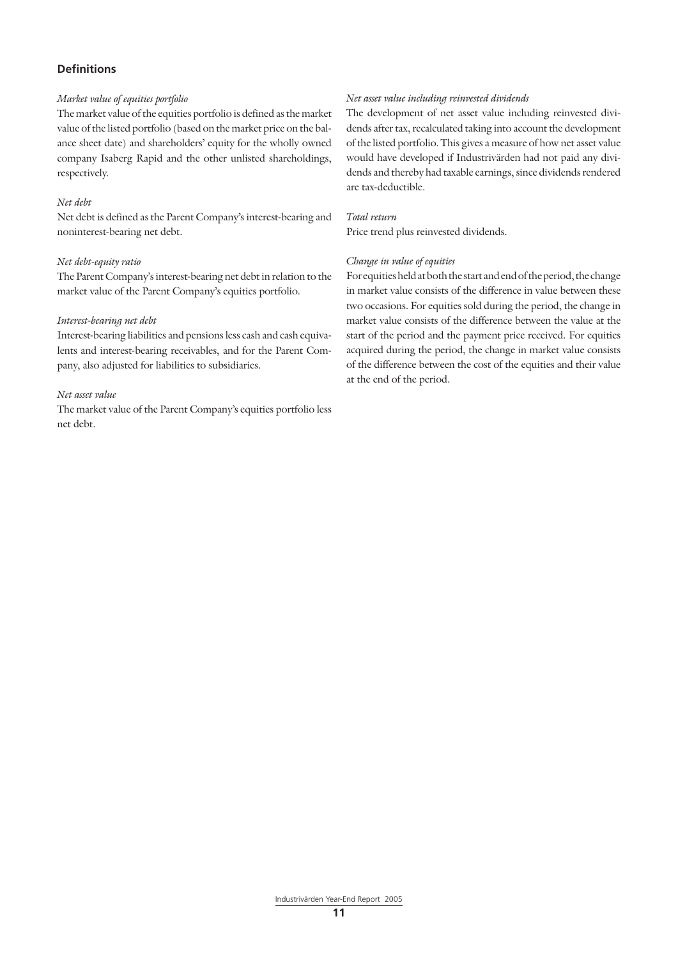#### **Definitions**

#### *Market value of equities portfolio*

The market value of the equities portfolio is defined as the market value of the listed portfolio (based on the market price on the balance sheet date) and shareholders' equity for the wholly owned company Isaberg Rapid and the other unlisted shareholdings, respectively.

#### *Net debt*

Net debt is defined as the Parent Company's interest-bearing and noninterest-bearing net debt.

#### *Net debt-equity ratio*

The Parent Company's interest-bearing net debt in relation to the market value of the Parent Company's equities portfolio.

#### *Interest-bearing net debt*

Interest-bearing liabilities and pensions less cash and cash equivalents and interest-bearing receivables, and for the Parent Company, also adjusted for liabilities to subsidiaries.

#### *Net asset value*

The market value of the Parent Company's equities portfolio less net debt.

#### *Net asset value including reinvested dividends*

The development of net asset value including reinvested dividends after tax, recalculated taking into account the development of the listed portfolio. This gives a measure of how net asset value would have developed if Industrivärden had not paid any dividends and thereby had taxable earnings, since dividends rendered are tax-deductible.

#### *Total return*

Price trend plus reinvested dividends.

#### *Change in value of equities*

For equities held at both the start and end of the period, the change in market value consists of the difference in value between these two occasions. For equities sold during the period, the change in market value consists of the difference between the value at the start of the period and the payment price received. For equities acquired during the period, the change in market value consists of the difference between the cost of the equities and their value at the end of the period.